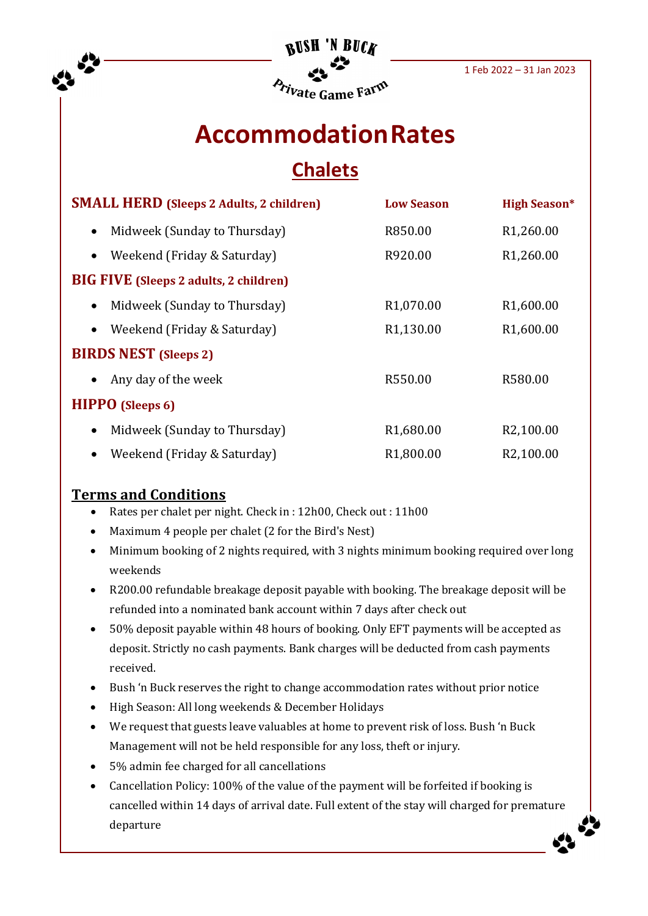

# **AccommodationRates Chalets**

| <b>SMALL HERD (Sleeps 2 Adults, 2 children)</b> |                                               | <b>Low Season</b>      | <b>High Season*</b>    |
|-------------------------------------------------|-----------------------------------------------|------------------------|------------------------|
| $\bullet$                                       | Midweek (Sunday to Thursday)                  | R850.00                | R <sub>1</sub> ,260.00 |
| $\bullet$                                       | Weekend (Friday & Saturday)                   | R920.00                | R <sub>1</sub> ,260.00 |
|                                                 | <b>BIG FIVE</b> (Sleeps 2 adults, 2 children) |                        |                        |
| $\bullet$                                       | Midweek (Sunday to Thursday)                  | R <sub>1</sub> ,070.00 | R <sub>1</sub> ,600.00 |
| $\bullet$                                       | Weekend (Friday & Saturday)                   | R1,130.00              | R <sub>1</sub> ,600.00 |
| <b>BIRDS NEST</b> (Sleeps 2)                    |                                               |                        |                        |
| $\bullet$                                       | Any day of the week                           | R550.00                | R580.00                |
| <b>HIPPO</b> (Sleeps 6)                         |                                               |                        |                        |
| $\bullet$                                       | Midweek (Sunday to Thursday)                  | R <sub>1</sub> ,680.00 | R <sub>2</sub> ,100.00 |
| $\bullet$                                       | Weekend (Friday & Saturday)                   | R <sub>1</sub> ,800.00 | R2,100.00              |

### **Terms and Conditions**

- Rates per chalet per night. Check in : 12h00, Check out : 11h00
- Maximum 4 people per chalet (2 for the Bird's Nest)
- Minimum booking of 2 nights required, with 3 nights minimum booking required over long weekends
- R200.00 refundable breakage deposit payable with booking. The breakage deposit will be refunded into a nominated bank account within 7 days after check out
- 50% deposit payable within 48 hours of booking. Only EFT payments will be accepted as deposit. Strictly no cash payments. Bank charges will be deducted from cash payments received.
- Bush 'n Buck reserves the right to change accommodation rates without prior notice
- High Season: All long weekends & December Holidays
- We request that guests leave valuables at home to prevent risk of loss. Bush 'n Buck Management will not be held responsible for any loss, theft or injury.
- 5% admin fee charged for all cancellations
- Cancellation Policy: 100% of the value of the payment will be forfeited if booking is cancelled within 14 days of arrival date. Full extent of the stay will charged for premature departure